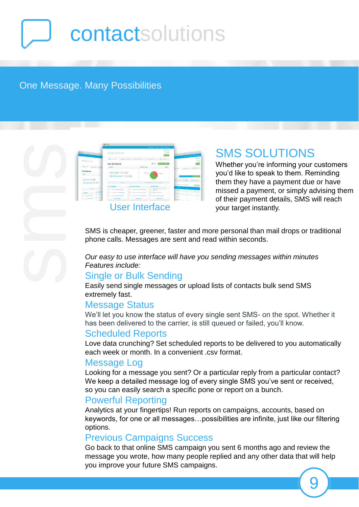# **contactsolutions**

### One Message. Many Possibilities

SMS i

|                       | <b>Kideber Library Elds Ginna</b>                                      |                                                        |                    |                                                         |                         |                                                                                                                                                                                                                                                                                                                                                                                                                                                                            |                                 |
|-----------------------|------------------------------------------------------------------------|--------------------------------------------------------|--------------------|---------------------------------------------------------|-------------------------|----------------------------------------------------------------------------------------------------------------------------------------------------------------------------------------------------------------------------------------------------------------------------------------------------------------------------------------------------------------------------------------------------------------------------------------------------------------------------|---------------------------------|
|                       | EPICALITY PTY LTD                                                      |                                                        |                    | <b><i><u>IAFI Walanga</u></i></b><br>$-1 - 0$           |                         |                                                                                                                                                                                                                                                                                                                                                                                                                                                                            |                                 |
|                       |                                                                        |                                                        |                    |                                                         | <b>RIATES</b>           |                                                                                                                                                                                                                                                                                                                                                                                                                                                                            |                                 |
|                       |                                                                        |                                                        |                    |                                                         |                         |                                                                                                                                                                                                                                                                                                                                                                                                                                                                            | <b>Carried Avenue Bank Bank</b> |
|                       | <b>BALLASTARY</b><br><b>ALCOHOL</b>                                    | B. contary.                                            |                    | a. more                                                 | <b>BUTTLES</b>          |                                                                                                                                                                                                                                                                                                                                                                                                                                                                            |                                 |
| <b>ERORSYTY IS</b>    |                                                                        |                                                        |                    |                                                         | Add a tene (artistical) |                                                                                                                                                                                                                                                                                                                                                                                                                                                                            |                                 |
|                       | Your Dashboard                                                         |                                                        |                    | <b>Dillo</b>                                            |                         |                                                                                                                                                                                                                                                                                                                                                                                                                                                                            |                                 |
| 1. Elizabeth  and     | <b><i><u>Indiana</u></i></b>                                           |                                                        | SMS Sent chart     |                                                         | 000                     |                                                                                                                                                                                                                                                                                                                                                                                                                                                                            | di scritto<br>a. senare         |
| ar Danskhause         |                                                                        |                                                        |                    |                                                         |                         |                                                                                                                                                                                                                                                                                                                                                                                                                                                                            |                                 |
|                       | SMS Sent: 123, 983                                                     |                                                        | <b>DEVELOP INT</b> |                                                         | $-3.4894811111$         |                                                                                                                                                                                                                                                                                                                                                                                                                                                                            |                                 |
|                       | SMS Received: 123, 983                                                 |                                                        |                    |                                                         |                         |                                                                                                                                                                                                                                                                                                                                                                                                                                                                            |                                 |
| SUS SHIP 123, 983     |                                                                        |                                                        |                    |                                                         |                         |                                                                                                                                                                                                                                                                                                                                                                                                                                                                            |                                 |
|                       |                                                                        |                                                        |                    |                                                         |                         | Kingdom R                                                                                                                                                                                                                                                                                                                                                                                                                                                                  |                                 |
| SUS facebook 123, 502 | Los Massa<br>Northern of the County of the project in case of a county |                                                        |                    |                                                         |                         |                                                                                                                                                                                                                                                                                                                                                                                                                                                                            |                                 |
|                       | Cangage                                                                | <b>IL CONSULTANIES</b>                                 |                    | <b>B</b> Case Activity                                  |                         | $\frac{1}{2} \left( \frac{1}{2} \right) \left( \frac{1}{2} \right) \left( \frac{1}{2} \right) \left( \frac{1}{2} \right) \left( \frac{1}{2} \right) \left( \frac{1}{2} \right) \left( \frac{1}{2} \right) \left( \frac{1}{2} \right) \left( \frac{1}{2} \right) \left( \frac{1}{2} \right) \left( \frac{1}{2} \right) \left( \frac{1}{2} \right) \left( \frac{1}{2} \right) \left( \frac{1}{2} \right) \left( \frac{1}{2} \right) \left( \frac{1}{2} \right) \left( \frac$ |                                 |
| $-$                   | ment on Excluding Language                                             | to control are to inquiried a kack-                    |                    | April for automobile cross high<br><b>Grand College</b> |                         | Triple of                                                                                                                                                                                                                                                                                                                                                                                                                                                                  |                                 |
|                       | <b>Investments to Exercise Ave.</b>                                    | Whopparents during a lot of the stressed               |                    | <b>April Auto MAN brint</b>                             |                         |                                                                                                                                                                                                                                                                                                                                                                                                                                                                            |                                 |
|                       | Thing has a self a britannial meet follows:                            | <b><i>CARD CARD IS A REPORT OF A REAL PROPERTY</i></b> |                    | the 1 hours bend a Late and                             |                         | <b>Piper</b>                                                                                                                                                                                                                                                                                                                                                                                                                                                               |                                 |
|                       | <b>State of Constitution</b>                                           | And 14 Eastern                                         |                    | <b>Search College</b>                                   |                         | <b>State</b>                                                                                                                                                                                                                                                                                                                                                                                                                                                               |                                 |
|                       |                                                                        |                                                        |                    |                                                         |                         | <b>State</b>                                                                                                                                                                                                                                                                                                                                                                                                                                                               |                                 |

# SMS SOLUTIONS

Whether you're informing your customers you'd like to speak to them. Reminding them they have a payment due or have missed a payment, or simply advising them of their payment details, SMS will reach your target instantly.

SMS is cheaper, greener, faster and more personal than mail drops or traditional phone calls. Messages are sent and read within seconds.

*Our easy to use interface will have you sending messages within minutes Features include:*

#### Single or Bulk Sending

Easily send single messages or upload lists of contacts bulk send SMS extremely fast.

#### Message Status

We'll let you know the status of every single sent SMS- on the spot. Whether it has been delivered to the carrier, is still queued or failed, you'll know.

#### Scheduled Reports

Love data crunching? Set scheduled reports to be delivered to you automatically each week or month. In a convenient .csv format.

#### Message Log

Looking for a message you sent? Or a particular reply from a particular contact? We keep a detailed message log of every single SMS you've sent or received, so you can easily search a specific pone or report on a bunch.

#### Powerful Reporting

Analytics at your fingertips! Run reports on campaigns, accounts, based on keywords, for one or all messages…possibilities are infinite, just like our filtering options.

#### Previous Campaigns Success

Go back to that online SMS campaign you sent 6 months ago and review the message you wrote, how many people replied and any other data that will help you improve your future SMS campaigns.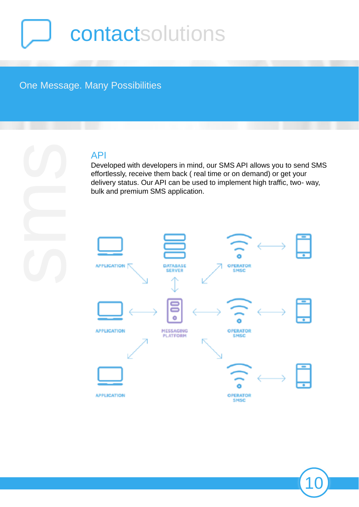# contactsolutions

### One Message. Many Possibilities

### API

Developed with developers in mind, our SMS API allows you to send SMS effortlessly, receive them back ( real time or on demand) or get your delivery status. Our API can be used to implement high traffic, two- way, bulk and premium SMS application.